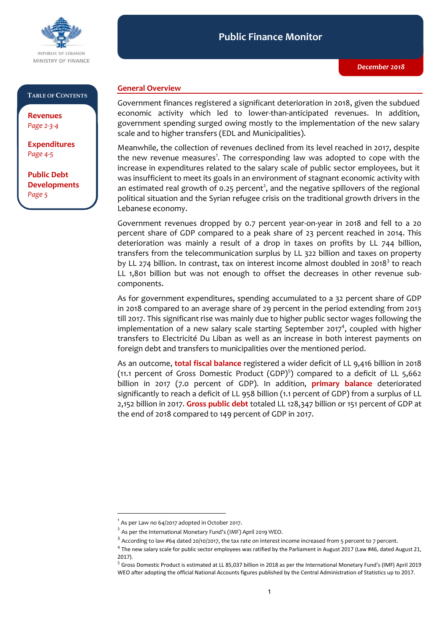

### **Public Finance Monitor** *December 2018* **Public Finance Monitor**

## **TABLE OF CONTENTS**

**Revenues**  *Page 2-3-4* **Revenues** 

**Expenditures**  *Page 4-5* **Expenditures** 

**Developments Developments** *Page 5***Public Debt** 

# **General Overview**

Government finances registered a significant deterioration in 2018, given the subdued economic activity which led to lower-than-anticipated revenues. In addition, government spending surged owing mostly to the implementation of the new salary scale and to higher transfers (EDL and Municipalities).

Meanwhile, the collection of revenues declined from its level reached in 2017, despite the new revenue measures<sup>1</sup>. The corresponding law was adopted to cope with the increase in expenditures related to the salary scale of public sector employees, but it was insufficient to meet its goals in an environment of stagnant economic activity with an estimated real growth of 0.25 percent<sup>2</sup>, and the negative spillovers of the regional political situation and the Syrian refugee crisis on the traditional growth drivers in the Lebanese economy.

Government revenues dropped by 0.7 percent year-on-year in 2018 and fell to a 20 percent share of GDP compared to a peak share of 23 percent reached in 2014. This deterioration was mainly a result of a drop in taxes on profits by LL 744 billion, transfers from the telecommunication surplus by LL 322 billion and taxes on property by LL 274 billion. In contrast, tax on interest income almost doubled in 2018<sup>3</sup> to reach LL 1,801 billion but was not enough to offset the decreases in other revenue subcomponents.

As for government expenditures, spending accumulated to a 32 percent share of GDP in 2018 compared to an average share of 29 percent in the period extending from 2013 till 2017. This significant rise was mainly due to higher public sector wages following the implementation of a new salary scale starting September 2017<sup>4</sup>, coupled with higher transfers to Electricité Du Liban as well as an increase in both interest payments on foreign debt and transfers to municipalities over the mentioned period.

As an outcome, **total fiscal balance** registered a wider deficit of LL 9,416 billion in 2018 (11.1 percent of Gross Domestic Product  $(GDP)^5$ ) compared to a deficit of LL 5,662 billion in 2017 (7.0 percent of GDP). In addition, **primary balance** deteriorated significantly to reach a deficit of LL 958 billion (1.1 percent of GDP) from a surplus of LL 2,152 billion in 2017. **Gross public debt** totaled LL 128,347 billion or 151 percent of GDP at the end of 2018 compared to 149 percent of GDP in 2017.

 $\overline{a}$ 

 $^1$  As per Law no 64/2017 adopted in October 2017.

 $^{2}$  As per the International Monetary Fund's (IMF) April 2019 WEO.

 $^3$  According to law #64 dated 20/10/2017, the tax rate on interest income increased from 5 percent to 7 percent.

<sup>&</sup>lt;sup>4</sup> The new salary scale for public sector employees was ratified by the Parliament in August 2017 (Law #46, dated August 21, 2017).

<sup>&</sup>lt;sup>5</sup> Gross Domestic Product is estimated at LL 85,037 billion in 2018 as per the International Monetary Fund's (IMF) April 2019 WEO after adopting the official National Accounts figures published by the Central Administration of Statistics up to 2017.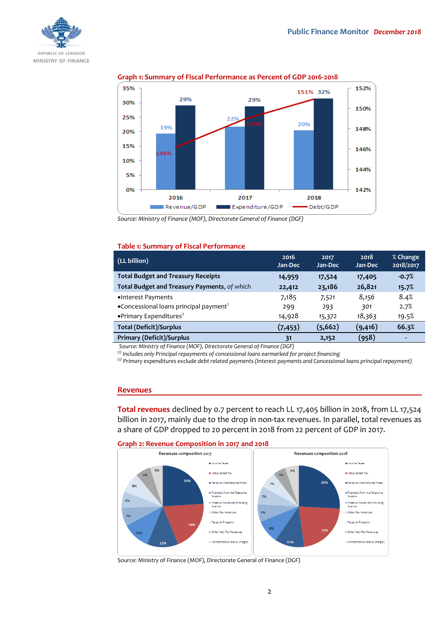



## **Graph 1: Summary of Fiscal Performance as Percent of GDP 2016-2018**

*Source: Ministry of Finance (MOF), Directorate General of Finance (DGF)*

### **Table 1: Summary of Fiscal Performance**

| (LL billion)                                       | 2016<br>Jan-Dec | 2017<br>Jan-Dec | 2018<br>Jan-Dec | % Change<br>2018/2017 |
|----------------------------------------------------|-----------------|-----------------|-----------------|-----------------------|
| <b>Total Budget and Treasury Receipts</b>          | 14,959          | 17,524          | 17,405          | $-0.7%$               |
| Total Budget and Treasury Payments, of which       | 22,412          | 23,186          | 26,821          | 15.7%                 |
| •Interest Payments                                 | 7,185           | 7,521           | 8,156           | 8.4%                  |
| •Concessional loans principal payment <sup>1</sup> | 299             | 293             | 301             | 2.7%                  |
| • Primary Expenditures <sup>2</sup>                | 14,928          | 15,372          | 18,363          | 19.5%                 |
| <b>Total (Deficit)/Surplus</b>                     | (7, 453)        | (5, 662)        | (9,416)         | 66.3%                 |
| <b>Primary (Deficit)/Surplus</b>                   | 31              | 2,152           | (958)           | $\blacksquare$        |
|                                                    |                 |                 |                 |                       |

*Source: Ministry of Finance (MOF), Directorate General of Finance (DGF)*

*(1) Includes only Principal repayments of concessional loans earmarked for project financing*

*(2) Primary expenditures exclude debt related payments (Interest payments and Concessional loans principal repayment)*

#### **Revenues**

**Total revenues** declined by 0.7 percent to reach LL 17,405 billion in 2018, from LL 17,524 billion in 2017, mainly due to the drop in non-tax revenues. In parallel, total revenues as a share of GDP dropped to 20 percent in 2018 from 22 percent of GDP in 2017.





Source: Ministry of Finance (MOF), Directorate General of Finance (DGF)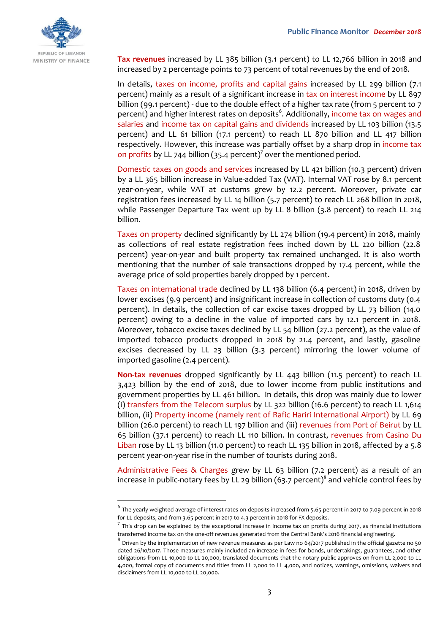

 $\overline{a}$ 

**Tax revenues** increased by LL 385 billion (3.1 percent) to LL 12,766 billion in 2018 and increased by 2 percentage points to 73 percent of total revenues by the end of 2018.

In details, taxes on income, profits and capital gains increased by LL 299 billion (7.1 percent) mainly as a result of a significant increase in tax on interest income by LL 897 billion (99.1 percent) - due to the double effect of a higher tax rate (from 5 percent to 7 percent) and higher interest rates on deposits<sup>6</sup>. Additionally, income tax on wages and salaries and income tax on capital gains and dividends increased by LL 103 billion (13.5 percent) and LL 61 billion (17.1 percent) to reach LL 870 billion and LL 417 billion respectively. However, this increase was partially offset by a sharp drop in income tax on profits by LL 744 billion (35.4 percent)<sup>7</sup> over the mentioned period.

Domestic taxes on goods and services increased by LL 421 billion (10.3 percent) driven by a LL 365 billion increase in Value-added Tax (VAT). Internal VAT rose by 8.1 percent year-on-year, while VAT at customs grew by 12.2 percent. Moreover, private car registration fees increased by LL 14 billion (5.7 percent) to reach LL 268 billion in 2018, while Passenger Departure Tax went up by LL 8 billion (3.8 percent) to reach LL 214 billion.

Taxes on property declined significantly by LL 274 billion (19.4 percent) in 2018, mainly as collections of real estate registration fees inched down by LL 220 billion (22.8 percent) year-on-year and built property tax remained unchanged. It is also worth mentioning that the number of sale transactions dropped by 17.4 percent, while the average price of sold properties barely dropped by 1 percent.

Taxes on international trade declined by LL 138 billion (6.4 percent) in 2018, driven by lower excises (9.9 percent) and insignificant increase in collection of customs duty (0.4 percent). In details, the collection of car excise taxes dropped by LL 73 billion (14.0 percent) owing to a decline in the value of imported cars by 12.1 percent in 2018. Moreover, tobacco excise taxes declined by LL 54 billion (27.2 percent), as the value of imported tobacco products dropped in 2018 by 21.4 percent, and lastly, gasoline excises decreased by LL 23 billion (3.3 percent) mirroring the lower volume of imported gasoline (2.4 percent).

**Non-tax revenues** dropped significantly by LL 443 billion (11.5 percent) to reach LL 3,423 billion by the end of 2018, due to lower income from public institutions and government properties by LL 461 billion. In details, this drop was mainly due to lower (i) transfers from the Telecom surplus by LL 322 billion (16.6 percent) to reach LL 1,614 billion, (ii) Property income (namely rent of Rafic Hariri International Airport) by LL 69 billion (26.0 percent) to reach LL 197 billion and (iii) revenues from Port of Beirut by LL 65 billion (37.1 percent) to reach LL 110 billion. In contrast, revenues from Casino Du Liban rose by LL 13 billion (11.0 percent) to reach LL 135 billion in 2018, affected by a 5.8 percent year-on-year rise in the number of tourists during 2018.

Administrative Fees & Charges grew by LL 63 billion (7.2 percent) as a result of an increase in public-notary fees by LL 29 billion (63.7 percent) $^{\rm 8}$  and vehicle control fees by

<sup>6</sup> The yearly weighted average of interest rates on deposits increased from 5.65 percent in 2017 to 7.09 percent in 2018 for LL deposits, and from 3.65 percent in 2017 to 4.3 percent in 2018 for FX deposits.

 $^7$  This drop can be explained by the exceptional increase in income tax on profits during 2017, as financial institutions transferred income tax on the one-off revenues generated from the Central Bank's 2016 financial engineering.

 $^8$  Driven by the implementation of new revenue measures as per Law no 64/2017 published in the official gazette no 50 dated 26/10/2017. Those measures mainly included an increase in fees for bonds, undertakings, guarantees, and other obligations from LL 10,000 to LL 20,000, translated documents that the notary public approves on from LL 2,000 to LL 4,000, formal copy of documents and titles from LL 2,000 to LL 4,000, and notices, warnings, omissions, waivers and disclaimers from LL 10,000 to LL 20,000.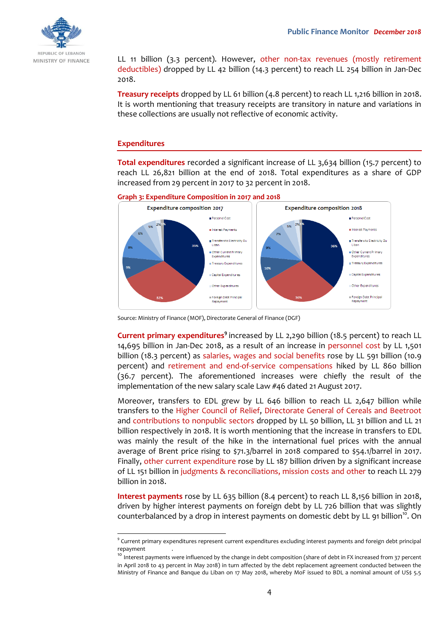

LL 11 billion (3.3 percent). However, other non-tax revenues (mostly retirement deductibles) dropped by LL 42 billion (14.3 percent) to reach LL 254 billion in Jan-Dec 2018.

**Treasury receipts** dropped by LL 61 billion (4.8 percent) to reach LL 1,216 billion in 2018. It is worth mentioning that treasury receipts are transitory in nature and variations in these collections are usually not reflective of economic activity.

# **Expenditures**

 $\overline{a}$ 

**Total expenditures** recorded a significant increase of LL 3,634 billion (15.7 percent) to reach LL 26,821 billion at the end of 2018. Total expenditures as a share of GDP increased from 29 percent in 2017 to 32 percent in 2018.

**Graph 3: Expenditure Composition in 2017 and 2018**



Source: Ministry of Finance (MOF), Directorate General of Finance (DGF)

**Current primary expenditures<sup>9</sup>** increased by LL 2,290 billion (18.5 percent) to reach LL 14,695 billion in Jan-Dec 2018, as a result of an increase in personnel cost by LL 1,501 billion (18.3 percent) as salaries, wages and social benefits rose by LL 591 billion (10.9 percent) and retirement and end-of-service compensations hiked by LL 860 billion (36.7 percent). The aforementioned increases were chiefly the result of the implementation of the new salary scale Law #46 dated 21 August 2017.

Moreover, transfers to EDL grew by LL 646 billion to reach LL 2,647 billion while transfers to the Higher Council of Relief, Directorate General of Cereals and Beetroot and contributions to nonpublic sectors dropped by LL 50 billion, LL 31 billion and LL 21 billion respectively in 2018. It is worth mentioning that the increase in transfers to EDL was mainly the result of the hike in the international fuel prices with the annual average of Brent price rising to \$71.3/barrel in 2018 compared to \$54.1/barrel in 2017. Finally, other current expenditure rose by LL 187 billion driven by a significant increase of LL 151 billion in judgments & reconciliations, mission costs and other to reach LL 279 billion in 2018.

**Interest payments** rose by LL 635 billion (8.4 percent) to reach LL 8,156 billion in 2018, driven by higher interest payments on foreign debt by LL 726 billion that was slightly counterbalanced by a drop in interest payments on domestic debt by LL 91 billion<sup>10</sup>. On

 $^9$  Current primary expenditures represent current expenditures excluding interest payments and foreign debt principal repayment .

<sup>&</sup>lt;sup>10</sup> Interest payments were influenced by the change in debt composition (share of debt in FX increased from 37 percent in April 2018 to 43 percent in May 2018) in turn affected by the debt replacement agreement conducted between the Ministry of Finance and Banque du Liban on 17 May 2018, whereby MoF issued to BDL a nominal amount of US\$ 5.5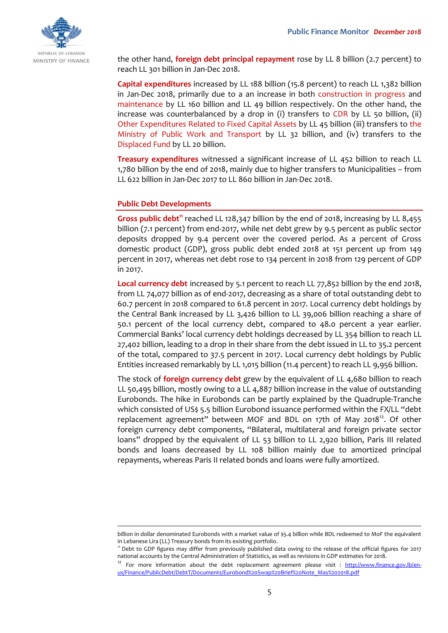

the other hand, **foreign debt principal repayment** rose by LL 8 billion (2.7 percent) to reach LL 301 billion in Jan-Dec 2018.

**Capital expenditures** increased by LL 188 billion (15.8 percent) to reach LL 1,382 billion in Jan-Dec 2018, primarily due to a an increase in both construction in progress and maintenance by LL 160 billion and LL 49 billion respectively. On the other hand, the increase was counterbalanced by a drop in (i) transfers to CDR by LL 50 billion, (ii) Other Expenditures Related to Fixed Capital Assets by LL 45 billion (iii) transfers to the Ministry of Public Work and Transport by LL 32 billion, and (iv) transfers to the Displaced Fund by LL 20 billion.

**Treasury expenditures** witnessed a significant increase of LL 452 billion to reach LL 1,780 billion by the end of 2018, mainly due to higher transfers to Municipalities – from LL 622 billion in Jan-Dec 2017 to LL 860 billion in Jan-Dec 2018.

## **Public Debt Developments**

 $\overline{a}$ 

Gross public debt<sup>11</sup> reached LL 128,347 billion by the end of 2018, increasing by LL 8,455 billion (7.1 percent) from end-2017, while net debt grew by 9.5 percent as public sector deposits dropped by 9.4 percent over the covered period. As a percent of Gross domestic product (GDP), gross public debt ended 2018 at 151 percent up from 149 percent in 2017, whereas net debt rose to 134 percent in 2018 from 129 percent of GDP in 2017.

Local currency debt increased by 5.1 percent to reach LL 77,852 billion by the end 2018, from LL 74,077 billion as of end-2017, decreasing as a share of total outstanding debt to 60.7 percent in 2018 compared to 61.8 percent in 2017. Local currency debt holdings by the Central Bank increased by LL 3,426 billion to LL 39,006 billion reaching a share of 50.1 percent of the local currency debt, compared to 48.0 percent a year earlier. Commercial Banks' local currency debt holdings decreased by LL 354 billion to reach LL 27,402 billion, leading to a drop in their share from the debt issued in LL to 35.2 percent of the total, compared to 37.5 percent in 2017. Local currency debt holdings by Public Entities increased remarkably by LL 1,015 billion (11.4 percent) to reach LL 9,956 billion.

The stock of **foreign currency debt** grew by the equivalent of LL 4,680 billion to reach LL 50,495 billion, mostly owing to a LL 4,887 billion increase in the value of outstanding Eurobonds. The hike in Eurobonds can be partly explained by the Quadruple-Tranche which consisted of US\$ 5.5 billion Eurobond issuance performed within the FX/LL "debt replacement agreement" between MOF and BDL on 17th of May 2018<sup>12</sup>. Of other foreign currency debt components, "Bilateral, multilateral and foreign private sector loans" dropped by the equivalent of LL 53 billion to LL 2,920 billion, Paris III related bonds and loans decreased by LL 108 billion mainly due to amortized principal repayments, whereas Paris II related bonds and loans were fully amortized.

billion in dollar denominated Eurobonds with a market value of \$5.4 billion while BDL redeemed to MoF the equivalent in Lebanese Lira (LL) Treasury bonds from its existing portfolio.

<sup>11</sup> Debt to GDP figures may differ from previously published data owing to the release of the official figures for 2017 national accounts by the Central Administration of Statistics, as well as revisions in GDP estimates for 2018.

<sup>12</sup> For more information about the debt replacement agreement please visit : [http://www.finance.gov.lb/en](http://www.finance.gov.lb/en-us/Finance/PublicDebt/DebtT/Documents/Eurobond%20Swap%20Brief%20Note_May%202018.pdf)[us/Finance/PublicDebt/DebtT/Documents/Eurobond%20Swap%20Brief%20Note\\_May%202018.pdf](http://www.finance.gov.lb/en-us/Finance/PublicDebt/DebtT/Documents/Eurobond%20Swap%20Brief%20Note_May%202018.pdf)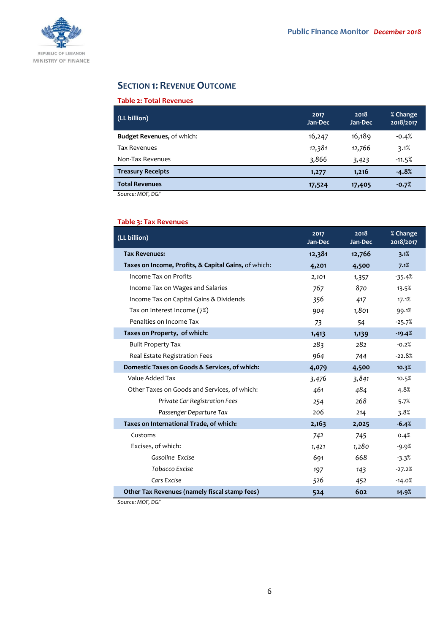

# **SECTION 1: REVENUE OUTCOME**

# **Table 2: Total Revenues**

| (LL billion)                                                       | 2017<br>Jan-Dec | 2018<br>Jan-Dec | % Change<br>2018/2017 |
|--------------------------------------------------------------------|-----------------|-----------------|-----------------------|
| <b>Budget Revenues, of which:</b>                                  | 16,247          | 16,189          | $-0.4%$               |
| <b>Tax Revenues</b>                                                | 12,381          | 12,766          | 3.1%                  |
| Non-Tax Revenues                                                   | 3,866           | 3,423           | $-11.5%$              |
| <b>Treasury Receipts</b>                                           | 1,277           | 1,216           | $-4.8%$               |
| <b>Total Revenues</b>                                              | 17,524          | 17,405          | $-0.7%$               |
| $C_{\text{min}}$ $\sim$ $M$ $\cap$ $\Gamma$ $\cap$ $\cap$ $\Gamma$ |                 |                 |                       |

*Source: MOF, DGF*

# **Table 3: Tax Revenues**

| (LL billion)                                         | 2017<br>Jan-Dec | 2018<br>Jan-Dec | % Change<br>2018/2017 |
|------------------------------------------------------|-----------------|-----------------|-----------------------|
| <b>Tax Revenues:</b>                                 | 12,381          | 12,766          | 3.1%                  |
| Taxes on Income, Profits, & Capital Gains, of which: | 4,201           | 4,500           | 7.1%                  |
| Income Tax on Profits                                | 2,101           | 1,357           | $-35.4%$              |
| Income Tax on Wages and Salaries                     | 767             | 870             | 13.5%                 |
| Income Tax on Capital Gains & Dividends              | 356             | 417             | 17.1%                 |
| Tax on Interest Income (7%)                          | 904             | 1,801           | 99.1%                 |
| Penalties on Income Tax                              | 73              | 54              | $-25.7%$              |
| Taxes on Property, of which:                         | 1,413           | 1,139           | $-19.4%$              |
| <b>Built Property Tax</b>                            | 283             | 282             | $-0.2%$               |
| Real Estate Registration Fees                        | 964             | 744             | $-22.8%$              |
| Domestic Taxes on Goods & Services, of which:        | 4,079           | 4,500           | 10.3%                 |
| Value Added Tax                                      | 3,476           | 3,841           | 10.5%                 |
| Other Taxes on Goods and Services, of which:         | 461             | 484             | 4.8%                  |
| Private Car Registration Fees                        | 254             | 268             | 5.7%                  |
| Passenger Departure Tax                              | 206             | 214             | 3.8%                  |
| Taxes on International Trade, of which:              | 2,163           | 2,025           | $-6.4%$               |
| Customs                                              | 742             | 745             | 0.4%                  |
| Excises, of which:                                   | 1,421           | 1,280           | $-9.9%$               |
| Gasoline Excise                                      | 691             | 668             | $-3.3%$               |
| <b>Tobacco Excise</b>                                | 197             | 143             | $-27.2%$              |
| Cars Excise                                          | 526             | 452             | $-14.0%$              |
| Other Tax Revenues (namely fiscal stamp fees)        | 524             | 602             | 14.9%                 |

*Source: MOF, DGF*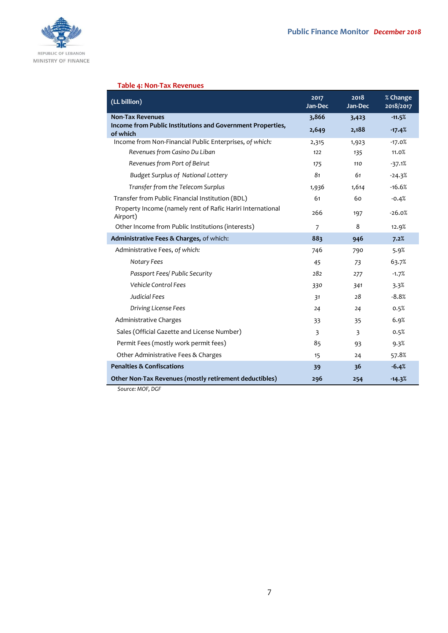

# **Table 4: Non-Tax Revenues**

| (LL billion)                                                           | 2017<br>Jan-Dec | 2018<br>Jan-Dec | % Change<br>2018/2017 |
|------------------------------------------------------------------------|-----------------|-----------------|-----------------------|
| <b>Non-Tax Revenues</b>                                                | 3,866           | 3,423           | $-11.5%$              |
| Income from Public Institutions and Government Properties,<br>of which | 2,649           | 2,188           | $-17.4%$              |
| Income from Non-Financial Public Enterprises, of which:                | 2,315           | 1,923           | $-17.0%$              |
| Revenues from Casino Du Liban                                          | 122             | 135             | 11.0%                 |
| Revenues from Port of Beirut                                           | 175             | 110             | $-37.1%$              |
| <b>Budget Surplus of National Lottery</b>                              | 81              | 61              | $-24.3%$              |
| Transfer from the Telecom Surplus                                      | 1,936           | 1,614           | $-16.6%$              |
| Transfer from Public Financial Institution (BDL)                       | 61              | 60              | $-0.4%$               |
| Property Income (namely rent of Rafic Hariri International<br>Airport) | 266             | 197             | $-26.0%$              |
| Other Income from Public Institutions (interests)                      | 7               | 8               | 12.9%                 |
| Administrative Fees & Charges, of which:                               | 883             | 946             | 7.2%                  |
| Administrative Fees, of which:                                         | 746             | 790             | 5.9%                  |
| Notary Fees                                                            | 45              | 73              | 63.7%                 |
| Passport Fees/ Public Security                                         | 282             | 277             | $-1.7%$               |
| Vehicle Control Fees                                                   | 330             | 341             | 3.3%                  |
| <b>Judicial Fees</b>                                                   | 31              | 28              | $-8.8%$               |
| Driving License Fees                                                   | 24              | 24              | 0.5%                  |
| Administrative Charges                                                 | 33              | 35              | 6.9%                  |
| Sales (Official Gazette and License Number)                            | 3               | 3               | 0.5%                  |
| Permit Fees (mostly work permit fees)                                  | 85              | 93              | 9.3%                  |
| Other Administrative Fees & Charges                                    | 15              | 24              | 57.8%                 |
| <b>Penalties &amp; Confiscations</b>                                   | 39              | 36              | $-6.4%$               |
| Other Non-Tax Revenues (mostly retirement deductibles)                 | 296             | 254             | $-14.3%$              |

*Source: MOF, DGF*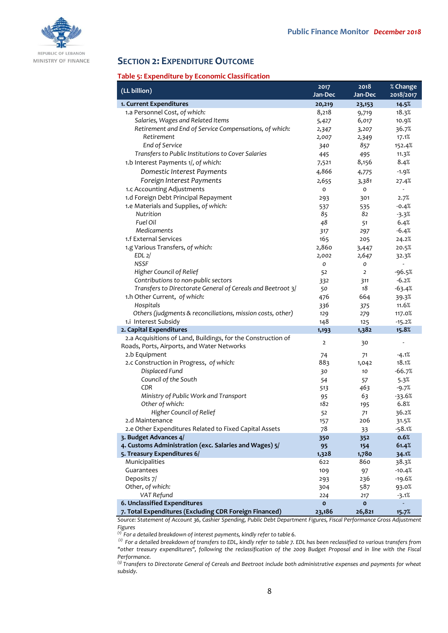

# **SECTION 2: EXPENDITURE OUTCOME**

### **Table 5: Expenditure by Economic Classification**

| (LL billion)                                                 | 2017           | 2018           | % Change  |
|--------------------------------------------------------------|----------------|----------------|-----------|
|                                                              | Jan-Dec        | Jan-Dec        | 2018/2017 |
| 1. Current Expenditures                                      | 20,219         | 23,153         | 14.5%     |
| 1.a Personnel Cost, of which:                                | 8,218          | 9,719          | 18.3%     |
| Salaries, Wages and Related Items                            | 5,427          | 6,017          | 10.9%     |
| Retirement and End of Service Compensations, of which:       | 2,347          | 3,207          | 36.7%     |
| Retirement                                                   | 2,007          | 2,349          | 17.1%     |
| End of Service                                               | 340            | 857            | 152.4%    |
| Transfers to Public Institutions to Cover Salaries           | 445            | 495            | 11.3%     |
| 1.b Interest Payments 1/, of which:                          | 7,521          | 8,156          | 8.4%      |
| Domestic Interest Payments                                   | 4,866          | 4,775          | $-1.9%$   |
| Foreign Interest Payments                                    | 2,655          | 3,381          | 27.4%     |
| 1.c Accounting Adjustments                                   | o              | o              |           |
| 1.d Foreign Debt Principal Repayment                         | 293            | 301            | 2.7%      |
| 1.e Materials and Supplies, of which:                        | 537            | 535            | $-0.4%$   |
| Nutrition                                                    | 85             | 82             | $-3.3%$   |
| Fuel Oil                                                     | 48             | 51             | 6.4%      |
| Medicaments                                                  | 317            | 297            | $-6.4%$   |
| 1.f External Services                                        | 165            | 205            | 24.2%     |
| 1.g Various Transfers, of which:                             | 2,860          | 3,447          | 20.5%     |
| EDL <sub>2</sub>                                             | 2,002          | 2,647          | 32.3%     |
| <b>NSSF</b>                                                  | 0              | 0              | ÷.        |
| Higher Council of Relief                                     | 52             | $\overline{2}$ | $-96.5%$  |
| Contributions to non-public sectors                          | 332            | 311            | $-6.2%$   |
| Transfers to Directorate General of Cereals and Beetroot 3/  | 50             | 18             | $-63.4%$  |
| 1.h Other Current, of which:                                 | 476            | 664            | 39.3%     |
| Hospitals                                                    | 336            | 375            | 11.6%     |
| Others (judgments & reconciliations, mission costs, other)   | 129            | 279            | 117.0%    |
| 1.i Interest Subsidy                                         | 148            | 125            | $-15.2%$  |
| 2. Capital Expenditures                                      | 1,193          | 1,382          | 15.8%     |
| 2.a Acquisitions of Land, Buildings, for the Construction of |                |                |           |
| Roads, Ports, Airports, and Water Networks                   | $\overline{2}$ | 30             |           |
| 2.b Equipment                                                | 74             | 71             | $-4.1%$   |
| 2.c Construction in Progress, of which:                      | 883            | 1,042          | 18.1%     |
| Displaced Fund                                               | 30             | 10             | $-66.7%$  |
| Council of the South                                         | 54             | 57             | 5.3%      |
| CDR                                                          | 513            | 463            | $-9.7%$   |
| Ministry of Public Work and Transport                        | 95             | 63             | $-33.6%$  |
| Other of which:                                              | 182            | 195            | 6.8%      |
| Higher Council of Relief                                     | 52             | 71             | 36.2%     |
| 2.d Maintenance                                              | 157            | 206            | 31.5%     |
| 2.e Other Expenditures Related to Fixed Capital Assets       | 78             | 33             | $-58.1%$  |
| 3. Budget Advances 4/                                        | 350            | 352            | 0.6%      |
| 4. Customs Administration (exc. Salaries and Wages) 5/       | 95             | 154            | 61.4%     |
| 5. Treasury Expenditures 6/                                  | 1,328          | 1,780          | 34.1%     |
| Municipalities                                               | 622            | 860            | 38.3%     |
| Guarantees                                                   | 109            | 97             | $-10.4%$  |
| Deposits 7/                                                  | 293            | 236            | $-19.6%$  |
| Other, of which:                                             | 304            | 587            | 93.0%     |
| VAT Refund                                                   | 224            | 217            | $-3.1%$   |
| 6. Unclassified Expenditures                                 |                |                |           |
|                                                              | $\mathbf{o}$   | $\mathbf{o}$   |           |

*Source: Statement of Account 36, Cashier Spending, Public Debt Department Figures, Fiscal Performance Gross Adjustment Figures*

*(1) For a detailed breakdown of interest payments, kindly refer to table 6.*

*(2) For a detailed breakdown of transfers to EDL, kindly refer to table 7. EDL has been reclassified to various transfers from "other treasury expenditures", following the reclassification of the 2009 Budget Proposal and in line with the Fiscal Performance.*

*(3) Transfers to Directorate General of Cereals and Beetroot include both administrative expenses and payments for wheat subsidy.*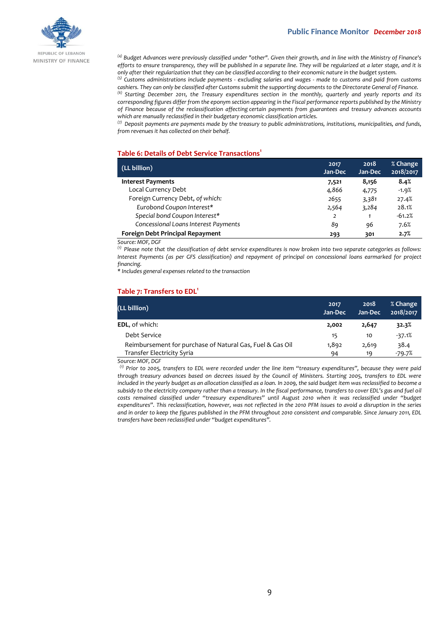

*(4) Budget Advances were previously classified under "other". Given their growth, and in line with the Ministry of Finance's efforts to ensure transparency, they will be published in a separate line. They will be regularized at a later stage, and it is only after their regularization that they can be classified according to their economic nature in the budget system.*

*(5) Customs administrations include payments - excluding salaries and wages - made to customs and paid from customs cashiers. They can only be classified after Customs submit the supporting documents to the Directorate General of Finance.*

*(6) Starting December 2011, the Treasury expenditures section in the monthly, quarterly and yearly reports and its corresponding figures differ from the eponym section appearing in the Fiscal performance reports published by the Ministry of Finance because of the reclassification affecting certain payments from guarantees and treasury advances accounts which are manually reclassified in their budgetary economic classification articles.*

*(7) Deposit payments are payments made by the treasury to public administrations, institutions, municipalities, and funds, from revenues it has collected on their behalf.*

### **Table 6: Details of Debt Service Transactions<sup>1</sup>**

| (LL billion)                         | 2017<br>Jan-Dec | 2018<br>Jan-Dec | % Change<br>2018/2017 |
|--------------------------------------|-----------------|-----------------|-----------------------|
| <b>Interest Payments</b>             | 7,521           | 8,156           | 8.4%                  |
| Local Currency Debt                  | 4,866           | 4,775           | $-1.9%$               |
| Foreign Currency Debt, of which:     | 2655            | 3,381           | 27.4%                 |
| Eurobond Coupon Interest*            | 2,564           | 3,284           | 28.1%                 |
| Special bond Coupon Interest*        | 2               |                 | $-61.2%$              |
| Concessional Loans Interest Payments | 89              | 96              | 7.6%                  |
| Foreign Debt Principal Repayment     | 293             | 301             | 2.7%                  |

*Source: MOF, DGF*

*(1) Please note that the classification of debt service expenditures is now broken into two separate categories as follows: Interest Payments (as per GFS classification) and repayment of principal on concessional loans earmarked for project financing.*

*\* Includes general expenses related to the transaction*

#### **Table 7: Transfers to EDL<sup>1</sup>**

| (LL billion)                                              | 2017<br>Jan-Dec | 2018<br>Jan-Dec | % Change<br>2018/2017 |
|-----------------------------------------------------------|-----------------|-----------------|-----------------------|
| <b>EDL, of which:</b>                                     | 2.002           | 2,647           | 32.3%                 |
| Debt Service                                              | 15              | 10              | $-37.1%$              |
| Reimbursement for purchase of Natural Gas, Fuel & Gas Oil | 1,892           | 2,619           | 38.4                  |
| Transfer Electricity Syria                                | 94              | 19              | $-79.7%$              |

#### *Source: MOF, DGF*

*(1) Prior to 2005, transfers to EDL were recorded under the line item "treasury expenditures", because they were paid through treasury advances based on decrees issued by the Council of Ministers. Starting 2005, transfers to EDL were included in the yearly budget as an allocation classified as a loan. In 2009, the said budget item was reclassified to become a subsidy to the electricity company rather than a treasury. In the fiscal performance, transfers to cover EDL's gas and fuel oil costs remained classified under "treasury expenditures" until August 2010 when it was reclassified under "budget expenditures". This reclassification, however, was not reflected in the 2010 PFM issues to avoid a disruption in the series and in order to keep the figures published in the PFM throughout 2010 consistent and comparable. Since January 2011, EDL transfers have been reclassified under "budget expenditures".*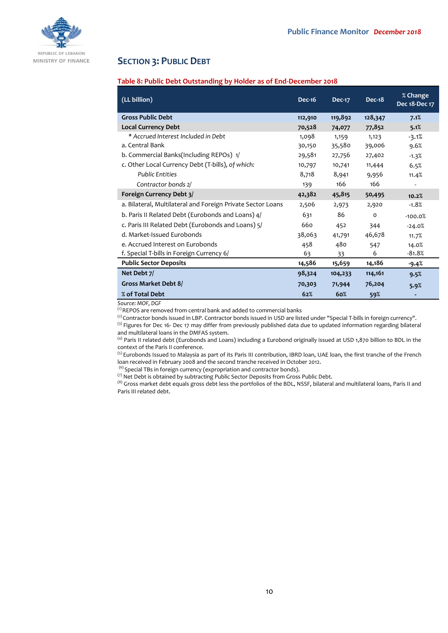

# **SECTION 3: PUBLIC DEBT**

# **Table 8: Public Debt Outstanding by Holder as of End-December 2018**

| (LL billion)                                                | <b>Dec-16</b> | <b>Dec-17</b> | $Dec-18$ | % Change<br>Dec 18-Dec 17 |
|-------------------------------------------------------------|---------------|---------------|----------|---------------------------|
| <b>Gross Public Debt</b>                                    | 112,910       | 119,892       | 128,347  | 7.1%                      |
| <b>Local Currency Debt</b>                                  | 70,528        | 74,077        | 77,852   | 5.1%                      |
| * Accrued Interest Included in Debt                         | 1,098         | 1,159         | 1,123    | $-3.1%$                   |
| a. Central Bank                                             | 30,150        | 35,580        | 39,006   | 9.6%                      |
| b. Commercial Banks(Including REPOs) 1/                     | 29,581        | 27,756        | 27,402   | $-1.3%$                   |
| c. Other Local Currency Debt (T-bills), of which:           | 10,797        | 10,741        | 11,444   | 6.5%                      |
| <b>Public Entities</b>                                      | 8,718         | 8,941         | 9,956    | 11.4%                     |
| Contractor bonds 2/                                         | 139           | 166           | 166      |                           |
| Foreign Currency Debt 3/                                    | 42,382        | 45,815        | 50,495   | 10.2%                     |
| a. Bilateral, Multilateral and Foreign Private Sector Loans | 2,506         | 2,973         | 2,920    | $-1.8%$                   |
| b. Paris II Related Debt (Eurobonds and Loans) 4/           | 631           | 86            | $\Omega$ | $-100.0%$                 |
| c. Paris III Related Debt (Eurobonds and Loans) 5/          | 660           | 452           | 344      | $-24.0%$                  |
| d. Market-Issued Eurobonds                                  | 38,063        | 41,791        | 46,678   | 11.7%                     |
| e. Accrued Interest on Eurobonds                            | 458           | 480           | 547      | 14.0%                     |
| f. Special T-bills in Foreign Currency 6/                   | 63            | 33            | 6        | $-81.8%$                  |
| <b>Public Sector Deposits</b>                               | 14,586        | 15,659        | 14,186   | -9.4%                     |
| Net Debt 7/                                                 | 98,324        | 104,233       | 114,161  | 9.5%                      |
| Gross Market Debt 8/                                        | 70,303        | 71,944        | 76,204   | 5.9%                      |
| % of Total Debt                                             | 62%           | 60%           | 59%      |                           |

*Source: MOF, DGF*

(1) REPOS are removed from central bank and added to commercial banks

 $^{(2)}$  Contractor bonds issued in LBP. Contractor bonds issued in USD are listed under "Special T-bills in foreign currency". <sup>(3)</sup> Figures for Dec 16- Dec 17 may differ from previously published data due to updated information regarding bilateral

and multilateral loans in the DMFAS system.

(4) Paris II related debt (Eurobonds and Loans) including a Eurobond originally issued at USD 1,870 billion to BDL in the context of the Paris II conference.

<sup>(5)</sup> Eurobonds Issued to Malaysia as part of its Paris III contribution, IBRD loan, UAE loan, the first tranche of the French loan received in February 2008 and the second tranche received in October 2012.

 $^{(6)}$  Special TBs in foreign currency (expropriation and contractor bonds).

(7) Net Debt is obtained by subtracting Public Sector Deposits from Gross Public Debt.

(8) Gross market debt equals gross debt less the portfolios of the BDL, NSSF, bilateral and multilateral loans, Paris II and Paris III related debt.